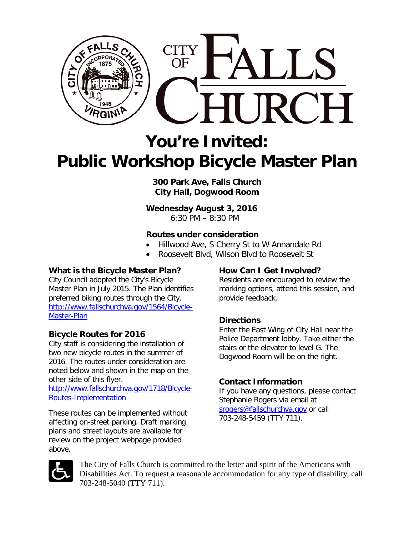

# **You're Invited: Public Workshop Bicycle Master Plan**

**300 Park Ave, Falls Church City Hall, Dogwood Room**

**Wednesday August 3, 2016**

6:30 PM – 8:30 PM

#### **Routes under consideration**

- Hillwood Ave, S Cherry St to W Annandale Rd
- Roosevelt Blvd, Wilson Blvd to Roosevelt St

## **What is the Bicycle Master Plan?**

City Council adopted the City's Bicycle Master Plan in July 2015. The Plan identifies preferred biking routes through the City. [http://www.fallschurchva.gov/1564/Bicycle-](http://www.fallschurchva.gov/1564/Bicycle-Master-Plan)[Master-Plan](http://www.fallschurchva.gov/1564/Bicycle-Master-Plan)

### **Bicycle Routes for 2016**

City staff is considering the installation of two new bicycle routes in the summer of 2016. The routes under consideration are noted below and shown in the map on the other side of this flyer.

[http://www.fallschurchva.gov/1718/Bicycle-](http://www.fallschurchva.gov/1718/Bicycle-Routes-Implementation)[Routes-Implementation](http://www.fallschurchva.gov/1718/Bicycle-Routes-Implementation)

These routes can be implemented without affecting on-street parking. Draft marking plans and street layouts are available for review on the project webpage provided above.

### **How Can I Get Involved?**

Residents are encouraged to review the marking options, attend this session, and provide feedback.

### **Directions**

Enter the East Wing of City Hall near the Police Department lobby. Take either the stairs or the elevator to level G. The Dogwood Room will be on the right.

### **Contact Information**

If you have any questions, please contact Stephanie Rogers via email at [srogers@fallschurchva.gov](mailto:srogers@fallschurchva.gov) or call 703-248-5459 (TTY 711).



The City of Falls Church is committed to the letter and spirit of the Americans with Disabilities Act. To request a reasonable accommodation for any type of disability, call 703-248-5040 (TTY 711).